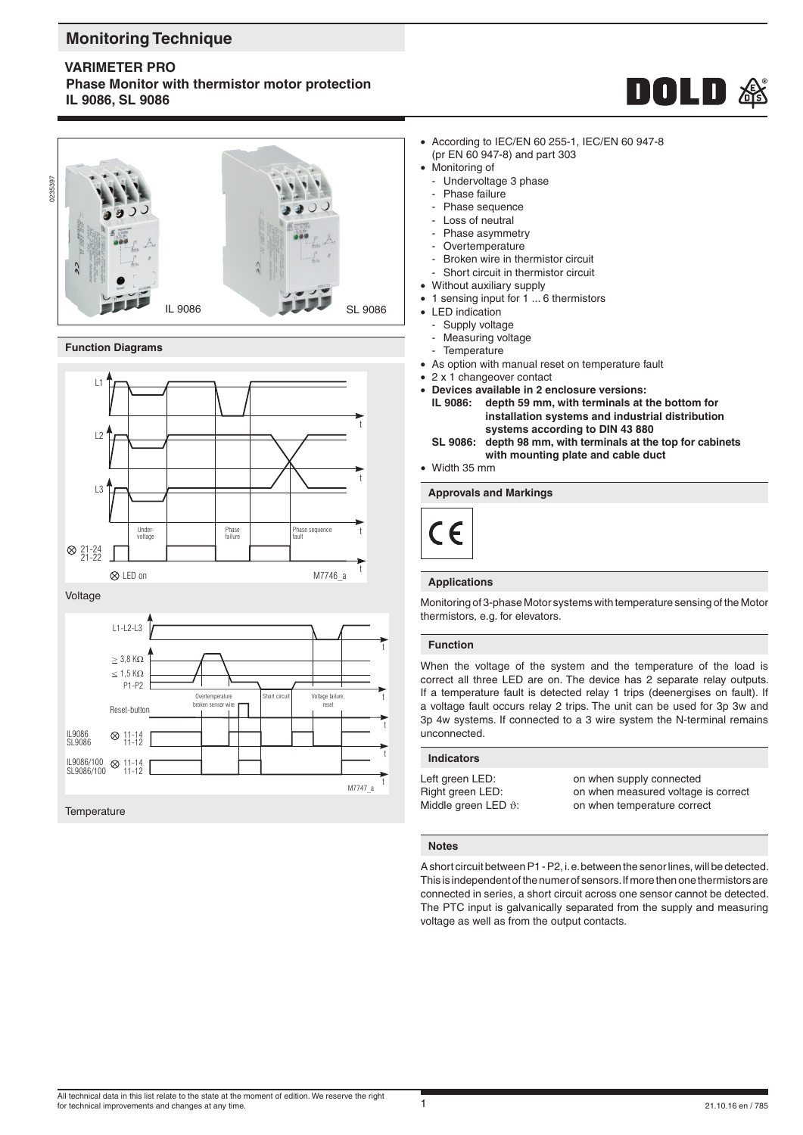# **Monitoring Technique**

**VARIMETER PRO**

**Phase Monitor with thermistor motor protection IL 9086, SL 9086**



#### **Function Diagrams**



Voltage



• According to IEC/EN 60 255-1, IEC/EN 60 947-8 (pr EN 60 947-8) and part 303

**DOLD &** 

- Monitoring of
- Undervoltage 3 phase
- Phase failure
- Phase sequence
- Loss of neutral
- Phase asymmetry
- Overtemperature
- Broken wire in thermistor circuit
- Short circuit in thermistor circuit
- Without auxiliary supply
- 1 sensing input for 1 ... 6 thermistors
- LED indication
- Supply voltage
	- Measuring voltage
- **Temperature**
- As option with manual reset on temperature fault
- 2 x 1 changeover contact
- **Devices available in 2 enclosure versions:** depth 59 mm, with terminals at the bottom for  **installation systems and industrial distribution systems according to DIN 43 880**<br>**SL 9086:** depth 98 mm, with terminals at the
- **SL 9086: depth 98 mm, with terminals at the top for cabinets with mounting plate and cable duct**
- Width 35 mm

### **Approvals and Markings**



#### **Applications**

Monitoring of 3-phase Motor systems with temperature sensing of the Motor thermistors, e.g. for elevators.

#### **Function**

When the voltage of the system and the temperature of the load is correct all three LED are on. The device has 2 separate relay outputs. If a temperature fault is detected relay 1 trips (deenergises on fault). If a voltage fault occurs relay 2 trips. The unit can be used for 3p 3w and 3p 4w systems. If connected to a 3 wire system the N-terminal remains unconnected.

#### **Indicators**

Middle green LED  $\vartheta$ : on when temperature correct

Left green LED: on when supply connected Right green LED: on when measured voltage is correct

#### **Notes**

A short circuit between P1 - P2, i. e. between the senor lines, will be detected. This is independent of the numer of sensors. If more then one thermistors are connected in series, a short circuit across one sensor cannot be detected. The PTC input is galvanically separated from the supply and measuring voltage as well as from the output contacts.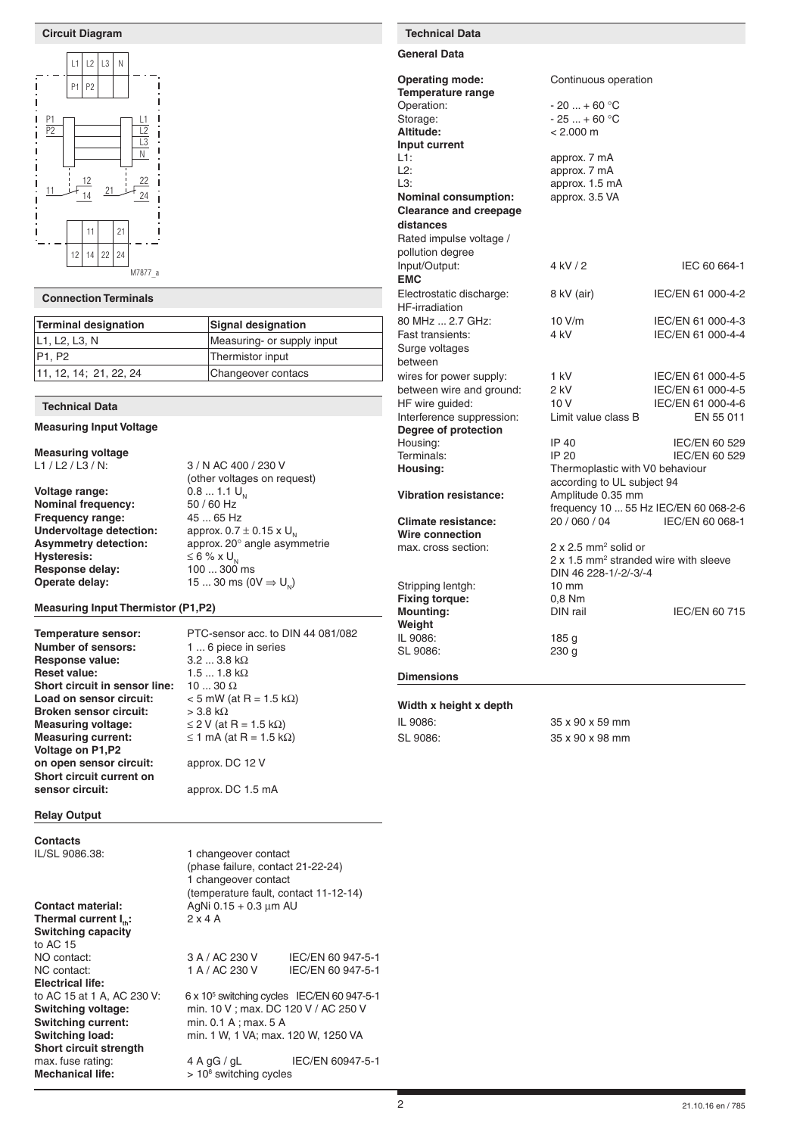#### **Circuit Diagram Technical Data**



#### **Connection Terminals**

| Terminal designation            | Signal designation         |
|---------------------------------|----------------------------|
| L1, L2, L3, N                   | Measuring- or supply input |
| P <sub>1</sub> , P <sub>2</sub> | Thermistor input           |
| 11, 12, 14; 21, 22, 24          | Changeover contacs         |

#### **Technical Data**

#### **Measuring Input Voltage**

**Measuring voltage**<br>L1 / L2 / L3 / N:

**Voltage range:** 0.8 ... 1.1 U<br>**Nominal frequency:** 50 / 60 Hz **Nominal frequency: Frequency range:** 45 ... 65 Hz **Undervoltage detection:** approx. 0.7 ± 0.15 x U<sub>N</sub><br>**Asymmetry detection:** approx. 20° angle asym **Hysteresis:**  $\leq 6 \% \times U_{N}$ <br>**Response delay:**  $100 ... 300$  ms **Response delay:**<br>Operate delay:

3 / N AC 400 / 230 V (other voltages on request)<br> $0.8 ... 1.1 U_{N}$ approx. 20° angle asymmetrie<br> $\leq 6$  % x U. 15 ... 30 ms ( $0$ V  $\Rightarrow$  U<sub>N</sub>)

#### **Measuring Input Thermistor (P1,P2)**

**Temperature sensor:** PTC-sensor acc. to DIN 44 081/082<br>**Number of sensors:** 1 ... 6 piece in series **Number of sensors: Response value:** 3.2 ... 3.8 kΩ<br>**Reset value:** 1.5 ... 1.8 kΩ **Short circuit in sensor line: Load on sensor circuit:**  $<$  5 mW (at R = 1.5 k $\Omega$ ) **Broken sensor circuit:** > 3.8 kΩ **Measuring voltage:**  $≤ 2$  V (at R = 1.5 kΩ)<br>**Measuring current:**  $≤ 1$  mA (at R = 1.5 kΩ) **Voltage on P1,P2 on open sensor circuit:** approx. DC 12 V **Short circuit current on sensor circuit:** approx. DC 1.5 mA

**Relay Output**

**Contacts** IL/SL 9086.38: 1 changeover contact

**Contact material:** AgNi 0.15 + 0.3 µm AU **Thermal current**  $I_n$ **:**  $2 \times 4$  A **Switching capacity** to AC 15<br>NO contact: NO contact: 3 A / AC 230 V IEC/EN 60 947-5-1<br>NC contact: 1 A / AC 230 V IEC/EN 60 947-5-1 **Electrical life:** to AC 15 at 1 A, AC 230 V:<br>Switching voltage: **Switching voltage:** min. 10 V ; max. DC 120 V / AC 250 V<br>**Switching current:** min. 0.1 A ; max. 5 A **Switching load:** min. 1 W, 1 VA; max. 120 W, 1250 VA **Short circuit strength** max. fuse rating:  $4 A gG / gL$  IEC/EN 60947-5-1 **Mechanical life:** 

 $1.5 ... 1.8 kΩ$ <br> $10 ... 30 Ω$  $\leq$  1 mA (at R = 1.5 kΩ)

(phase failure, contact 21-22-24)

(temperature fault, contact 11-12-14)

 $6 \times 10^5$  switching cycles IEC/EN 60 947-5-1

IEC/EN 60 947-5-1

1 changeover contact

min. 0.1 A ; max. 5 A

 $> 10<sup>8</sup>$  switching cycles

**General Data**

| <b>Operating mode:</b>        | Continuous operation                              |                      |
|-------------------------------|---------------------------------------------------|----------------------|
| <b>Temperature range</b>      |                                                   |                      |
| Operation:                    | $-20+60$ °C                                       |                      |
| Storage:                      | $-25+60 °C$                                       |                      |
| Altitude:                     | $< 2.000 \text{ m}$                               |                      |
| Input current                 |                                                   |                      |
| L1:                           | approx. 7 mA                                      |                      |
| L2:                           | approx. 7 mA                                      |                      |
| L3:                           | approx. 1.5 mA                                    |                      |
| <b>Nominal consumption:</b>   | approx. 3.5 VA                                    |                      |
| <b>Clearance and creepage</b> |                                                   |                      |
| distances                     |                                                   |                      |
| Rated impulse voltage /       |                                                   |                      |
| pollution degree              |                                                   |                      |
| Input/Output:                 | 4 kV / 2                                          | IEC 60 664-1         |
| <b>EMC</b>                    |                                                   |                      |
| Electrostatic discharge:      | 8 kV (air)                                        | IEC/EN 61 000-4-2    |
| <b>HF-irradiation</b>         |                                                   |                      |
| 80 MHz  2.7 GHz:              | 10 V/m                                            | IEC/EN 61 000-4-3    |
| Fast transients:              | 4 kV                                              | IEC/EN 61 000-4-4    |
| Surge voltages                |                                                   |                      |
| between                       |                                                   |                      |
| wires for power supply:       | 1 kV                                              | IEC/EN 61 000-4-5    |
| between wire and ground:      | 2 kV                                              | IEC/EN 61 000-4-5    |
| HF wire guided:               | 10V                                               | IEC/EN 61 000-4-6    |
| Interference suppression:     | Limit value class B                               | EN 55 011            |
| Degree of protection          |                                                   |                      |
| Housing:                      | IP 40                                             | IEC/EN 60 529        |
| Terminals:                    | IP 20                                             | <b>IEC/EN 60 529</b> |
| Housing:                      | Thermoplastic with V0 behaviour                   |                      |
|                               | according to UL subject 94                        |                      |
| <b>Vibration resistance:</b>  | Amplitude 0.35 mm                                 |                      |
|                               | frequency 10  55 Hz IEC/EN 60 068-2-6             |                      |
| <b>Climate resistance:</b>    | 20 / 060 / 04                                     | IEC/EN 60 068-1      |
| <b>Wire connection</b>        |                                                   |                      |
| max. cross section:           | $2 \times 2.5$ mm <sup>2</sup> solid or           |                      |
|                               | 2 x 1.5 mm <sup>2</sup> stranded wire with sleeve |                      |
|                               | DIN 46 228-1/-2/-3/-4                             |                      |
| Stripping lentgh:             | $10 \text{ mm}$                                   |                      |
| <b>Fixing torque:</b>         | $0.8$ Nm                                          |                      |
| <b>Mounting:</b>              | DIN rail                                          | <b>IEC/EN 60 715</b> |
| Weight                        |                                                   |                      |
| IL 9086:                      | 185 <sub>g</sub>                                  |                      |
| SL 9086:                      | 230 g                                             |                      |
| <b>Dimensions</b>             |                                                   |                      |
| Width x height x depth        |                                                   |                      |
| $II$ $0000$                   | 0.50000000                                        |                      |

| IL 9086: | $35 \times 90 \times 59$ mm |
|----------|-----------------------------|
| SL 9086: | 35 x 90 x 98 mm             |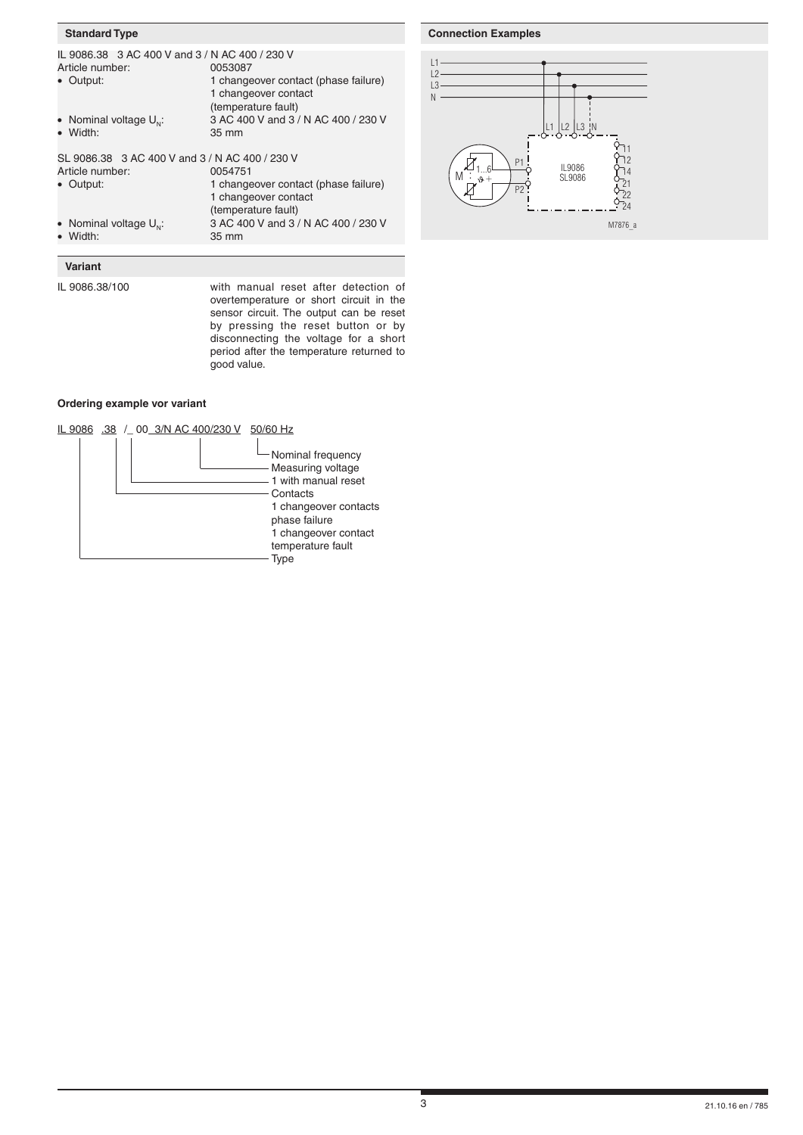#### **Standard Type**

| IL 9086.38 3 AC 400 V and 3 / N AC 400 / 230 V |                                      |  |
|------------------------------------------------|--------------------------------------|--|
| Article number:                                | 0053087                              |  |
| • Output:                                      | 1 changeover contact (phase failure) |  |
|                                                | 1 changeover contact                 |  |
|                                                | (temperature fault)                  |  |
| • Nominal voltage $U_{\omega}$ :               | 3 AC 400 V and 3 / N AC 400 / 230 V  |  |
| • Width:                                       | 35 mm                                |  |
| SL 9086.38 3 AC 400 V and 3 / N AC 400 / 230 V |                                      |  |
| Article number:                                | 0054751                              |  |
| • Output:                                      | 1 changeover contact (phase failure) |  |
|                                                | 1 changeover contact                 |  |
|                                                | (temperature fault)                  |  |
| • Nominal voltage $U_{\omega}$ :               | 3 AC 400 V and 3 / N AC 400 / 230 V  |  |
| • Width:                                       | 35 mm                                |  |

#### L1 L2  $\overline{3}$

**Connection Examples**



# **Variant**

IL 9086.38/100 with manual reset after detection of overtemperature or short circuit in the sensor circuit. The output can be reset by pressing the reset button or by disconnecting the voltage for a short period after the temperature returned to good value.

## **Ordering example vor variant**

## IL 9086 .38 /\_ 00 3/N AC 400/230 V 50/60 Hz